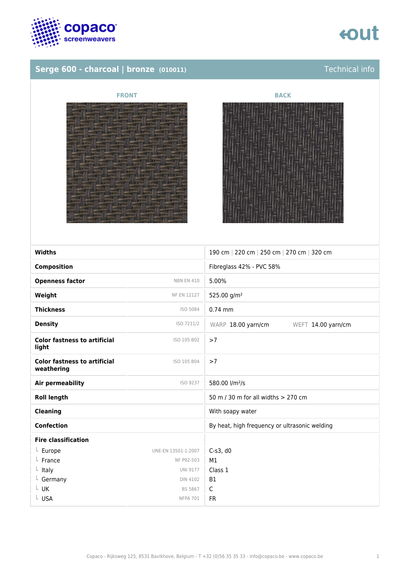

## tout

### **Serge 600 - charcoal | bronze (010011)** Technical info





| <b>Widths</b>                                     |                     | 190 cm   220 cm   250 cm   270 cm   320 cm    |
|---------------------------------------------------|---------------------|-----------------------------------------------|
| <b>Composition</b>                                |                     | Fibreglass 42% - PVC 58%                      |
| <b>Openness factor</b>                            | <b>NBN EN 410</b>   | 5.00%                                         |
| Weight                                            | <b>NF EN 12127</b>  | 525.00 g/m <sup>2</sup>                       |
| <b>Thickness</b>                                  | ISO 5084            | $0.74$ mm                                     |
| <b>Density</b>                                    | ISO 7211/2          | WARP 18.00 yarn/cm<br>WEFT 14.00 yarn/cm      |
| <b>Color fastness to artificial</b><br>light      | ISO 105 B02         | >7                                            |
| <b>Color fastness to artificial</b><br>weathering | ISO 105 B04         | >7                                            |
| <b>Air permeability</b>                           | ISO 9237            | 580.00 l/m <sup>2</sup> /s                    |
| <b>Roll length</b>                                |                     | 50 m / 30 m for all widths > 270 cm           |
| <b>Cleaning</b>                                   |                     | With soapy water                              |
| <b>Confection</b>                                 |                     | By heat, high frequency or ultrasonic welding |
| <b>Fire classification</b>                        |                     |                                               |
| $L$ Europe                                        | UNE-EN 13501-1:2007 | $C-s3$ , d $0$                                |
| $L$ France                                        | NF P92-503          | M1                                            |
| $L$ Italy                                         | <b>UNI 9177</b>     | Class 1                                       |
| $L$ Germany                                       | <b>DIN 4102</b>     | <b>B1</b>                                     |
| L UK                                              | <b>BS 5867</b>      | C                                             |
| L USA                                             | <b>NFPA 701</b>     | <b>FR</b>                                     |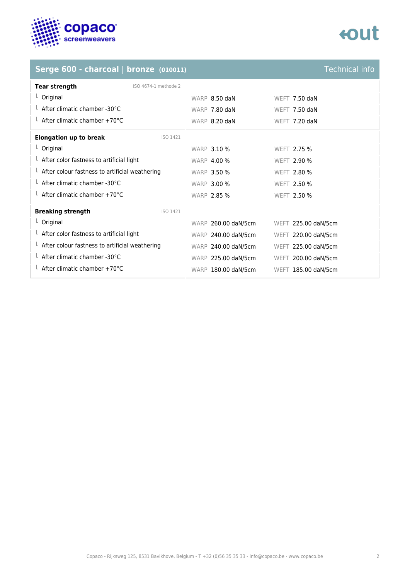

## **eout**

### **Serge 600 - charcoal | bronze (010011)** Technical info

| <b>Tear strength</b><br>ISO 4674-1 methode 2           |                     |                     |
|--------------------------------------------------------|---------------------|---------------------|
| $L$ Original                                           | WARP 8.50 daN       | WEFT 7.50 daN       |
| $\perp$ After climatic chamber -30°C                   | WARP 7.80 daN       | WEFT 7.50 daN       |
| $\perp$ After climatic chamber +70°C                   | WARP 8.20 daN       | WEFT 7.20 daN       |
| <b>Elongation up to break</b><br>ISO 1421              |                     |                     |
| $L$ Original                                           | <b>WARP 3.10 %</b>  | WEFT 2.75 %         |
| $\perp$ After color fastness to artificial light       | <b>WARP 4.00 %</b>  | <b>WEFT 2.90 %</b>  |
| $\perp$ After colour fastness to artificial weathering | <b>WARP 3.50 %</b>  | <b>WEFT 2.80 %</b>  |
| $\perp$ After climatic chamber -30°C                   | <b>WARP 3.00 %</b>  | <b>WEFT 2.50 %</b>  |
| $\perp$ After climatic chamber +70°C                   | <b>WARP 2.85 %</b>  | WEFT 2.50 %         |
| <b>Breaking strength</b><br>ISO 1421                   |                     |                     |
| $L$ Original                                           | WARP 260.00 daN/5cm | WEFT 225.00 daN/5cm |
| $\perp$ After color fastness to artificial light       | WARP 240.00 daN/5cm | WEFT 220.00 daN/5cm |
| $\perp$ After colour fastness to artificial weathering | WARP 240.00 daN/5cm | WEFT 225.00 daN/5cm |
| $\perp$ After climatic chamber -30°C                   | WARP 225.00 daN/5cm | WEFT 200.00 daN/5cm |
| $\perp$ After climatic chamber +70°C                   | WARP 180.00 daN/5cm | WEFT 185.00 daN/5cm |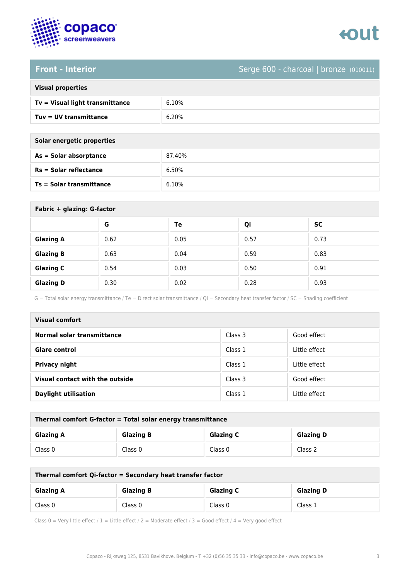

# tout

### **Front - Interior** Serge 600 - charcoal | bronze (010011)

| <b>Visual properties</b> |  |
|--------------------------|--|
|                          |  |

| Tv = Visual light transmittance | 6.10% |
|---------------------------------|-------|
| $Tuv = UV$ transmittance        | 6.20% |

**As = Solar absorptance** 87.40%

| Solar energetic properties      |        |  |
|---------------------------------|--------|--|
| As = Solar absorptance          | 87.40% |  |
| $Rs = Solar$ reflectance        | 6.50%  |  |
| <b>Ts = Solar transmittance</b> | 6.10%  |  |

| Fabric + glazing: G-factor |      |      |      |           |
|----------------------------|------|------|------|-----------|
|                            | G    | Te   | Qi   | <b>SC</b> |
| <b>Glazing A</b>           | 0.62 | 0.05 | 0.57 | 0.73      |
| <b>Glazing B</b>           | 0.63 | 0.04 | 0.59 | 0.83      |
| <b>Glazing C</b>           | 0.54 | 0.03 | 0.50 | 0.91      |
| <b>Glazing D</b>           | 0.30 | 0.02 | 0.28 | 0.93      |

G = Total solar energy transmittance / Te = Direct solar transmittance / Qi = Secondary heat transfer factor / SC = Shading coefficient

| <b>Visual comfort</b>           |         |               |  |
|---------------------------------|---------|---------------|--|
| Normal solar transmittance      | Class 3 | Good effect   |  |
| <b>Glare control</b>            | Class 1 | Little effect |  |
| <b>Privacy night</b>            | Class 1 | Little effect |  |
| Visual contact with the outside | Class 3 | Good effect   |  |
| <b>Daylight utilisation</b>     | Class 1 | Little effect |  |

| Thermal comfort G-factor = Total solar energy transmittance |                  |                  |                  |
|-------------------------------------------------------------|------------------|------------------|------------------|
| <b>Glazing A</b>                                            | <b>Glazing B</b> | <b>Glazing C</b> | <b>Glazing D</b> |
| Class 0                                                     | Class 0          | Class 0          | Class 2          |

| Thermal comfort Qi-factor = Secondary heat transfer factor |                  |                  |                  |
|------------------------------------------------------------|------------------|------------------|------------------|
| <b>Glazing A</b>                                           | <b>Glazing B</b> | <b>Glazing C</b> | <b>Glazing D</b> |
| Class 0                                                    | Class 0          | Class 0          | Class 1          |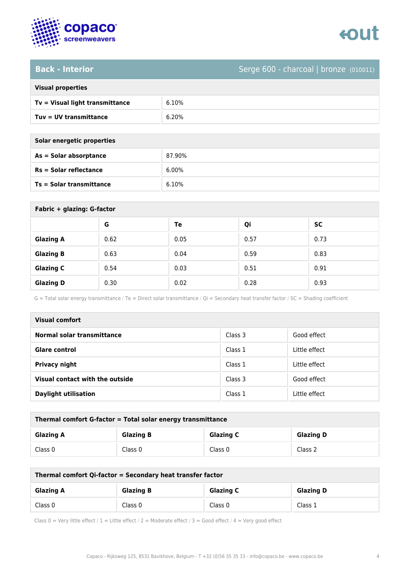

## tout

### **Back - Interior** Serge 600 - charcoal | bronze (010011)

| <b>Visual properties</b> |
|--------------------------|
|                          |

| Tv = Visual light transmittance | 6.10% |
|---------------------------------|-------|
| $Tuv = UV$ transmittance        | 6.20% |

**As = Solar absorptance** 87.90%

| Solar energetic properties |        |
|----------------------------|--------|
| $As = Solar absorption$    | 87.90% |
| Rs = Solar reflectance     | 6.00%  |
| Ts = Solar transmittance   | 6.10%  |

| Fabric + glazing: G-factor |      |      |      |      |
|----------------------------|------|------|------|------|
|                            | G    | Te   | Qi   | SC   |
| <b>Glazing A</b>           | 0.62 | 0.05 | 0.57 | 0.73 |
| <b>Glazing B</b>           | 0.63 | 0.04 | 0.59 | 0.83 |
| <b>Glazing C</b>           | 0.54 | 0.03 | 0.51 | 0.91 |
| <b>Glazing D</b>           | 0.30 | 0.02 | 0.28 | 0.93 |

G = Total solar energy transmittance / Te = Direct solar transmittance / Qi = Secondary heat transfer factor / SC = Shading coefficient

| <b>Visual comfort</b>           |         |               |
|---------------------------------|---------|---------------|
| Normal solar transmittance      | Class 3 | Good effect   |
| <b>Glare control</b>            | Class 1 | Little effect |
| Privacy night                   | Class 1 | Little effect |
| Visual contact with the outside | Class 3 | Good effect   |
| <b>Daylight utilisation</b>     | Class 1 | Little effect |

| Thermal comfort G-factor = Total solar energy transmittance |                  |                  |                  |
|-------------------------------------------------------------|------------------|------------------|------------------|
| <b>Glazing A</b>                                            | <b>Glazing B</b> | <b>Glazing C</b> | <b>Glazing D</b> |
| Class 0                                                     | Class 0          | Class 0          | Class 2          |

| Thermal comfort Qi-factor = Secondary heat transfer factor |                  |                  |                  |
|------------------------------------------------------------|------------------|------------------|------------------|
| <b>Glazing A</b>                                           | <b>Glazing B</b> | <b>Glazing C</b> | <b>Glazing D</b> |
| Class 0                                                    | Class 0          | Class 0          | Class 1          |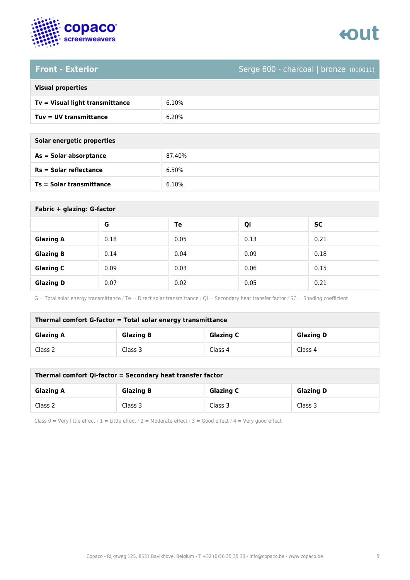

# enut

### **Front - Exterior** Serge 600 - charcoal | bronze (010011)

| <b>Visual properties</b> |  |  |
|--------------------------|--|--|
|                          |  |  |

| Tv = Visual light transmittance | 6.10% |
|---------------------------------|-------|
| Tuv = UV transmittance          | 6.20% |

**As = Solar absorptance** 87.40%

| Solar energetic properties      |        |
|---------------------------------|--------|
| As = Solar absorptance          | 87.40% |
| $Rs = Solar$ reflectance        | 6.50%  |
| <b>Ts = Solar transmittance</b> | 6.10%  |

| Fabric + glazing: G-factor |      |      |      |           |
|----------------------------|------|------|------|-----------|
|                            | G    | Te   | Qi   | <b>SC</b> |
| <b>Glazing A</b>           | 0.18 | 0.05 | 0.13 | 0.21      |
| <b>Glazing B</b>           | 0.14 | 0.04 | 0.09 | 0.18      |
| <b>Glazing C</b>           | 0.09 | 0.03 | 0.06 | 0.15      |
| <b>Glazing D</b>           | 0.07 | 0.02 | 0.05 | 0.21      |

G = Total solar energy transmittance / Te = Direct solar transmittance / Qi = Secondary heat transfer factor / SC = Shading coefficient

| Thermal comfort G-factor = Total solar energy transmittance |                  |                  |                  |
|-------------------------------------------------------------|------------------|------------------|------------------|
| <b>Glazing A</b>                                            | <b>Glazing B</b> | <b>Glazing C</b> | <b>Glazing D</b> |
| Class 2                                                     | Class 3          | Class 4          | Class 4          |

| Thermal comfort Qi-factor = Secondary heat transfer factor |                  |                  |                  |
|------------------------------------------------------------|------------------|------------------|------------------|
| <b>Glazing A</b>                                           | <b>Glazing B</b> | <b>Glazing C</b> | <b>Glazing D</b> |
| Class 2                                                    | Class 3          | Class 3          | Class 3          |